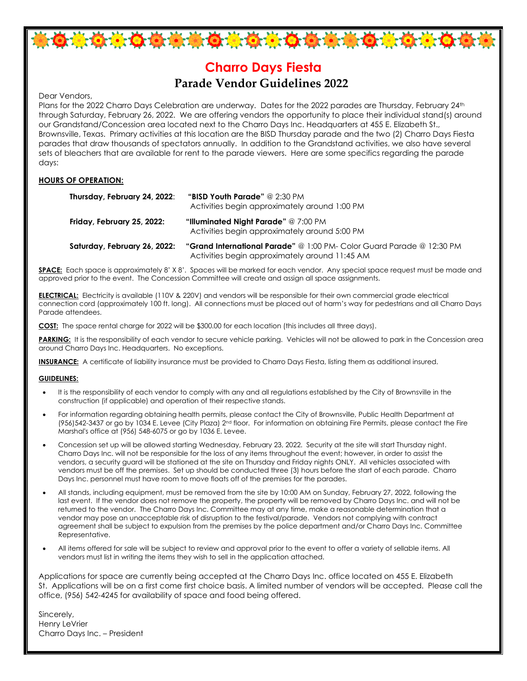

\*\*\*\*\*\*\*\*\*\*\*\*\*\*\*\*\*\*\*\*\*\*\*\*

Dear Vendors,

Plans for the 2022 Charro Days Celebration are underway. Dates for the 2022 parades are Thursday, February 24th through Saturday, February 26, 2022. We are offering vendors the opportunity to place their individual stand(s) around our Grandstand/Concession area located next to the Charro Days Inc. Headquarters at 455 E. Elizabeth St., Brownsville, Texas. Primary activities at this location are the BISD Thursday parade and the two (2) Charro Days Fiesta parades that draw thousands of spectators annually. In addition to the Grandstand activities, we also have several sets of bleachers that are available for rent to the parade viewers. Here are some specifics regarding the parade days:

### **HOURS OF OPERATION:**

| Thursday, February 24, 2022: | <b>"BISD Youth Parade"</b> @ 2:30 PM<br>Activities begin approximately around 1:00 PM                                   |
|------------------------------|-------------------------------------------------------------------------------------------------------------------------|
| Friday, February 25, 2022:   | "Illuminated Night Parade" @ 7:00 PM<br>Activities begin approximately around 5:00 PM                                   |
| Saturday, February 26, 2022: | "Grand International Parade" @ 1:00 PM- Color Guard Parade @ 12:30 PM<br>Activities begin approximately around 11:45 AM |

**SPACE:** Each space is approximately 8' X 8'. Spaces will be marked for each vendor. Any special space request must be made and approved prior to the event. The Concession Committee will create and assign all space assignments.

**ELECTRICAL:** Electricity is available (110V & 220V) and vendors will be responsible for their own commercial grade electrical connection cord (approximately 100 ft. long). All connections must be placed out of harm's way for pedestrians and all Charro Days Parade attendees.

**COST:** The space rental charge for 2022 will be \$300.00 for each location (this includes all three days).

**PARKING:** It is the responsibility of each vendor to secure vehicle parking. Vehicles will not be allowed to park in the Concession area around Charro Days Inc. Headquarters. No exceptions.

**INSURANCE:** A certificate of liability insurance must be provided to Charro Days Fiesta, listing them as additional insured.

#### **GUIDELINES:**

- It is the responsibility of each vendor to comply with any and all regulations established by the City of Brownsville in the construction (if applicable) and operation of their respective stands.
- For information regarding obtaining health permits, please contact the City of Brownsville, Public Health Department at (956)542-3437 or go by 1034 E. Levee (City Plaza) 2nd floor. For information on obtaining Fire Permits, please contact the Fire Marshal's office at (956) 548-6075 or go by 1036 E. Levee.
- Concession set up will be allowed starting Wednesday, February 23, 2022. Security at the site will start Thursday night. Charro Days Inc. will not be responsible for the loss of any items throughout the event; however, in order to assist the vendors, a security guard will be stationed at the site on Thursday and Friday nights ONLY. All vehicles associated with vendors must be off the premises. Set up should be conducted three (3) hours before the start of each parade. Charro Days Inc. personnel must have room to move floats off of the premises for the parades.
- All stands, including equipment, must be removed from the site by 10:00 AM on Sunday, February 27, 2022, following the last event. If the vendor does not remove the property, the property will be removed by Charro Days Inc. and will not be returned to the vendor. The Charro Days Inc. Committee may at any time, make a reasonable determination that a vendor may pose an unacceptable risk of disruption to the festival/parade. Vendors not complying with contract agreement shall be subject to expulsion from the premises by the police department and/or Charro Days Inc. Committee Representative.
- All items offered for sale will be subject to review and approval prior to the event to offer a variety of sellable items. All vendors must list in writing the items they wish to sell in the application attached.

Applications for space are currently being accepted at the Charro Days Inc. office located on 455 E. Elizabeth St. Applications will be on a first come first choice basis. A limited number of vendors will be accepted. Please call the office, (956) 542-4245 for availability of space and food being offered.

Sincerely, Henry LeVrier Charro Days Inc. – President